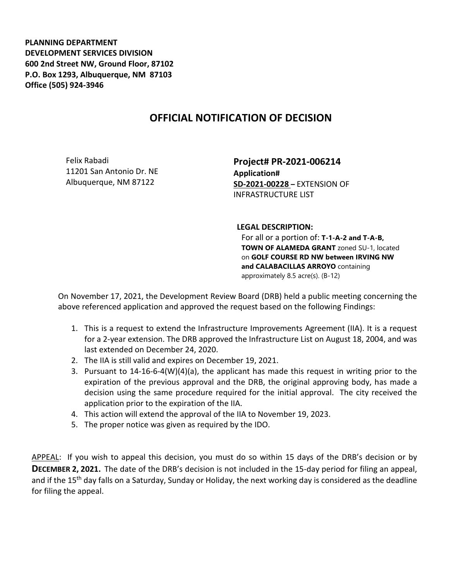**PLANNING DEPARTMENT DEVELOPMENT SERVICES DIVISION 600 2nd Street NW, Ground Floor, 87102 P.O. Box 1293, Albuquerque, NM 87103 Office (505) 924-3946** 

## **OFFICIAL NOTIFICATION OF DECISION**

Felix Rabadi 11201 San Antonio Dr. NE Albuquerque, NM 87122

**Project# PR-2021-006214 Application# SD-2021-00228 –** EXTENSION OF INFRASTRUCTURE LIST

## **LEGAL DESCRIPTION:**

For all or a portion of: **T-1-A-2 and T-A-B, TOWN OF ALAMEDA GRANT** zoned SU-1, located on **GOLF COURSE RD NW between IRVING NW and CALABACILLAS ARROYO** containing approximately 8.5 acre(s). (B-12)

On November 17, 2021, the Development Review Board (DRB) held a public meeting concerning the above referenced application and approved the request based on the following Findings:

- 1. This is a request to extend the Infrastructure Improvements Agreement (IIA). It is a request for a 2-year extension. The DRB approved the Infrastructure List on August 18, 2004, and was last extended on December 24, 2020.
- 2. The IIA is still valid and expires on December 19, 2021.
- 3. Pursuant to 14-16-6-4(W)(4)(a), the applicant has made this request in writing prior to the expiration of the previous approval and the DRB, the original approving body, has made a decision using the same procedure required for the initial approval. The city received the application prior to the expiration of the IIA.
- 4. This action will extend the approval of the IIA to November 19, 2023.
- 5. The proper notice was given as required by the IDO.

APPEAL: If you wish to appeal this decision, you must do so within 15 days of the DRB's decision or by **DECEMBER 2, 2021.** The date of the DRB's decision is not included in the 15-day period for filing an appeal, and if the 15<sup>th</sup> day falls on a Saturday, Sunday or Holiday, the next working day is considered as the deadline for filing the appeal.